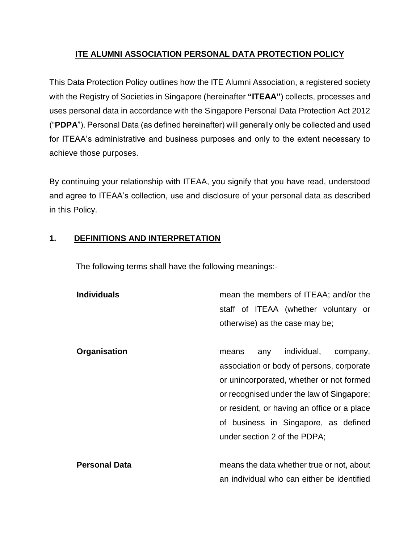# **ITE ALUMNI ASSOCIATION PERSONAL DATA PROTECTION POLICY**

This Data Protection Policy outlines how the ITE Alumni Association, a registered society with the Registry of Societies in Singapore (hereinafter **"ITEAA"**) collects, processes and uses personal data in accordance with the Singapore Personal Data Protection Act 2012 ("**PDPA**"). Personal Data (as defined hereinafter) will generally only be collected and used for ITEAA's administrative and business purposes and only to the extent necessary to achieve those purposes.

By continuing your relationship with ITEAA, you signify that you have read, understood and agree to ITEAA's collection, use and disclosure of your personal data as described in this Policy.

### **1. DEFINITIONS AND INTERPRETATION**

The following terms shall have the following meanings:-

| <b>Individuals</b> | mean the members of ITEAA; and/or the |  |  |  |                                      |  |
|--------------------|---------------------------------------|--|--|--|--------------------------------------|--|
|                    |                                       |  |  |  | staff of ITEAA (whether voluntary or |  |
|                    | otherwise) as the case may be;        |  |  |  |                                      |  |

**Organisation means** any individual, company, association or body of persons, corporate or unincorporated, whether or not formed or recognised under the law of Singapore; or resident, or having an office or a place of business in Singapore, as defined under section 2 of the PDPA; **Personal Data** means the data whether true or not, about

an individual who can either be identified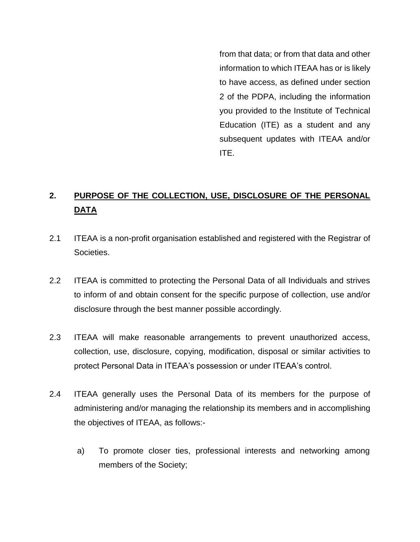from that data; or from that data and other information to which ITEAA has or is likely to have access, as defined under section 2 of the PDPA, including the information you provided to the Institute of Technical Education (ITE) as a student and any subsequent updates with ITEAA and/or ITE.

# **2. PURPOSE OF THE COLLECTION, USE, DISCLOSURE OF THE PERSONAL DATA**

- 2.1 ITEAA is a non-profit organisation established and registered with the Registrar of Societies.
- 2.2 ITEAA is committed to protecting the Personal Data of all Individuals and strives to inform of and obtain consent for the specific purpose of collection, use and/or disclosure through the best manner possible accordingly.
- 2.3 ITEAA will make reasonable arrangements to prevent unauthorized access, collection, use, disclosure, copying, modification, disposal or similar activities to protect Personal Data in ITEAA's possession or under ITEAA's control.
- 2.4 ITEAA generally uses the Personal Data of its members for the purpose of administering and/or managing the relationship its members and in accomplishing the objectives of ITEAA, as follows:
	- a) To promote closer ties, professional interests and networking among members of the Society;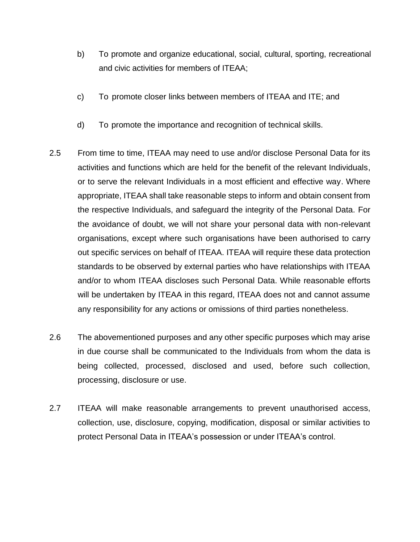- b) To promote and organize educational, social, cultural, sporting, recreational and civic activities for members of ITEAA;
- c) To promote closer links between members of ITEAA and ITE; and
- d) To promote the importance and recognition of technical skills.
- 2.5 From time to time, ITEAA may need to use and/or disclose Personal Data for its activities and functions which are held for the benefit of the relevant Individuals, or to serve the relevant Individuals in a most efficient and effective way. Where appropriate, ITEAA shall take reasonable steps to inform and obtain consent from the respective Individuals, and safeguard the integrity of the Personal Data. For the avoidance of doubt, we will not share your personal data with non-relevant organisations, except where such organisations have been authorised to carry out specific services on behalf of ITEAA. ITEAA will require these data protection standards to be observed by external parties who have relationships with ITEAA and/or to whom ITEAA discloses such Personal Data. While reasonable efforts will be undertaken by ITEAA in this regard, ITEAA does not and cannot assume any responsibility for any actions or omissions of third parties nonetheless.
- 2.6 The abovementioned purposes and any other specific purposes which may arise in due course shall be communicated to the Individuals from whom the data is being collected, processed, disclosed and used, before such collection, processing, disclosure or use.
- 2.7 ITEAA will make reasonable arrangements to prevent unauthorised access, collection, use, disclosure, copying, modification, disposal or similar activities to protect Personal Data in ITEAA's possession or under ITEAA's control.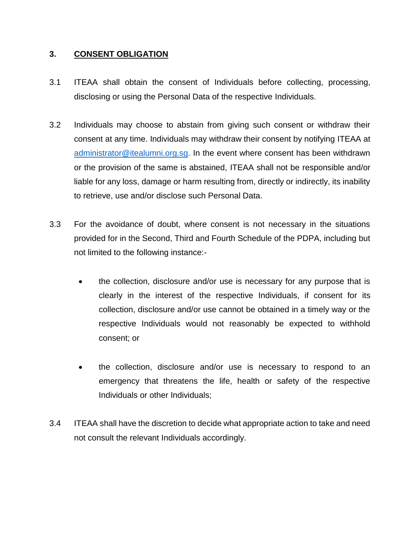### **3. CONSENT OBLIGATION**

- 3.1 ITEAA shall obtain the consent of Individuals before collecting, processing, disclosing or using the Personal Data of the respective Individuals.
- 3.2 Individuals may choose to abstain from giving such consent or withdraw their consent at any time. Individuals may withdraw their consent by notifying ITEAA at [administrator@itealumni.org.sg.](mailto:administrator@itealumni.org.sg) In the event where consent has been withdrawn or the provision of the same is abstained, ITEAA shall not be responsible and/or liable for any loss, damage or harm resulting from, directly or indirectly, its inability to retrieve, use and/or disclose such Personal Data.
- 3.3 For the avoidance of doubt, where consent is not necessary in the situations provided for in the Second, Third and Fourth Schedule of the PDPA, including but not limited to the following instance:-
	- the collection, disclosure and/or use is necessary for any purpose that is clearly in the interest of the respective Individuals, if consent for its collection, disclosure and/or use cannot be obtained in a timely way or the respective Individuals would not reasonably be expected to withhold consent; or
	- the collection, disclosure and/or use is necessary to respond to an emergency that threatens the life, health or safety of the respective Individuals or other Individuals;
- 3.4 ITEAA shall have the discretion to decide what appropriate action to take and need not consult the relevant Individuals accordingly.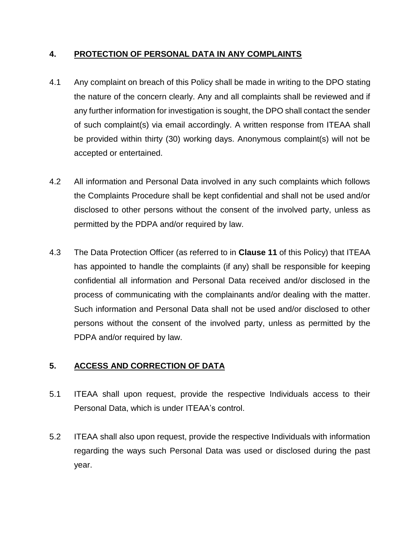### **4. PROTECTION OF PERSONAL DATA IN ANY COMPLAINTS**

- 4.1 Any complaint on breach of this Policy shall be made in writing to the DPO stating the nature of the concern clearly. Any and all complaints shall be reviewed and if any further information for investigation is sought, the DPO shall contact the sender of such complaint(s) via email accordingly. A written response from ITEAA shall be provided within thirty (30) working days. Anonymous complaint(s) will not be accepted or entertained.
- 4.2 All information and Personal Data involved in any such complaints which follows the Complaints Procedure shall be kept confidential and shall not be used and/or disclosed to other persons without the consent of the involved party, unless as permitted by the PDPA and/or required by law.
- 4.3 The Data Protection Officer (as referred to in **Clause 11** of this Policy) that ITEAA has appointed to handle the complaints (if any) shall be responsible for keeping confidential all information and Personal Data received and/or disclosed in the process of communicating with the complainants and/or dealing with the matter. Such information and Personal Data shall not be used and/or disclosed to other persons without the consent of the involved party, unless as permitted by the PDPA and/or required by law.

### **5. ACCESS AND CORRECTION OF DATA**

- 5.1 ITEAA shall upon request, provide the respective Individuals access to their Personal Data, which is under ITEAA's control.
- 5.2 ITEAA shall also upon request, provide the respective Individuals with information regarding the ways such Personal Data was used or disclosed during the past year.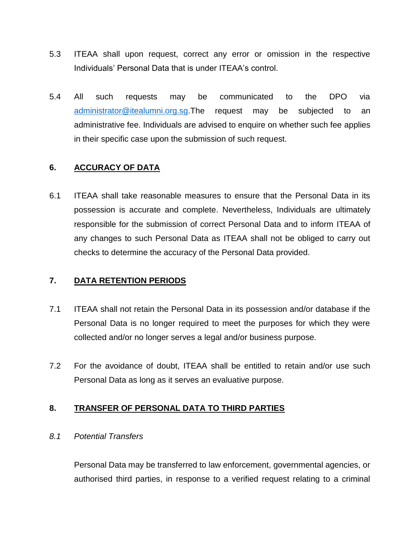- 5.3 ITEAA shall upon request, correct any error or omission in the respective Individuals' Personal Data that is under ITEAA's control.
- 5.4 All such requests may be communicated to the DPO via [administrator@itealumni.org.sg.](mailto:administrator@itealumni.org.sg)The request may be subjected to an administrative fee. Individuals are advised to enquire on whether such fee applies in their specific case upon the submission of such request.

### **6. ACCURACY OF DATA**

6.1 ITEAA shall take reasonable measures to ensure that the Personal Data in its possession is accurate and complete. Nevertheless, Individuals are ultimately responsible for the submission of correct Personal Data and to inform ITEAA of any changes to such Personal Data as ITEAA shall not be obliged to carry out checks to determine the accuracy of the Personal Data provided.

#### **7. DATA RETENTION PERIODS**

- 7.1 ITEAA shall not retain the Personal Data in its possession and/or database if the Personal Data is no longer required to meet the purposes for which they were collected and/or no longer serves a legal and/or business purpose.
- 7.2 For the avoidance of doubt, ITEAA shall be entitled to retain and/or use such Personal Data as long as it serves an evaluative purpose.

### **8. TRANSFER OF PERSONAL DATA TO THIRD PARTIES**

#### *8.1 Potential Transfers*

Personal Data may be transferred to law enforcement, governmental agencies, or authorised third parties, in response to a verified request relating to a criminal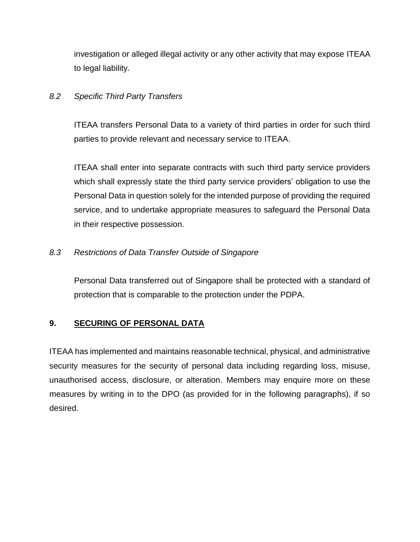investigation or alleged illegal activity or any other activity that may expose ITEAA to legal liability.

### *8.2 Specific Third Party Transfers*

ITEAA transfers Personal Data to a variety of third parties in order for such third parties to provide relevant and necessary service to ITEAA.

ITEAA shall enter into separate contracts with such third party service providers which shall expressly state the third party service providers' obligation to use the Personal Data in question solely for the intended purpose of providing the required service, and to undertake appropriate measures to safeguard the Personal Data in their respective possession.

### *8.3 Restrictions of Data Transfer Outside of Singapore*

Personal Data transferred out of Singapore shall be protected with a standard of protection that is comparable to the protection under the PDPA.

# **9. SECURING OF PERSONAL DATA**

ITEAA has implemented and maintains reasonable technical, physical, and administrative security measures for the security of personal data including regarding loss, misuse, unauthorised access, disclosure, or alteration. Members may enquire more on these measures by writing in to the DPO (as provided for in the following paragraphs), if so desired.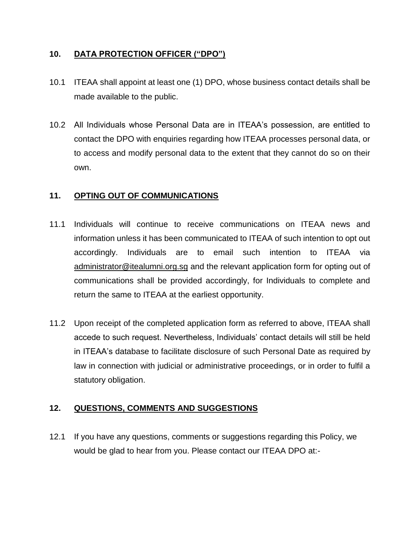### **10. DATA PROTECTION OFFICER ("DPO")**

- 10.1 ITEAA shall appoint at least one (1) DPO, whose business contact details shall be made available to the public.
- 10.2 All Individuals whose Personal Data are in ITEAA's possession, are entitled to contact the DPO with enquiries regarding how ITEAA processes personal data, or to access and modify personal data to the extent that they cannot do so on their own.

### **11. OPTING OUT OF COMMUNICATIONS**

- 11.1 Individuals will continue to receive communications on ITEAA news and information unless it has been communicated to ITEAA of such intention to opt out accordingly. Individuals are to email such intention to ITEAA via [administrator@itealumni.org.sg](mailto:administrator@itealumni.org.sg) and the relevant application form for opting out of communications shall be provided accordingly, for Individuals to complete and return the same to ITEAA at the earliest opportunity.
- 11.2 Upon receipt of the completed application form as referred to above, ITEAA shall accede to such request. Nevertheless, Individuals' contact details will still be held in ITEAA's database to facilitate disclosure of such Personal Date as required by law in connection with judicial or administrative proceedings, or in order to fulfil a statutory obligation.

### **12. QUESTIONS, COMMENTS AND SUGGESTIONS**

12.1 If you have any questions, comments or suggestions regarding this Policy, we would be glad to hear from you. Please contact our ITEAA DPO at:-